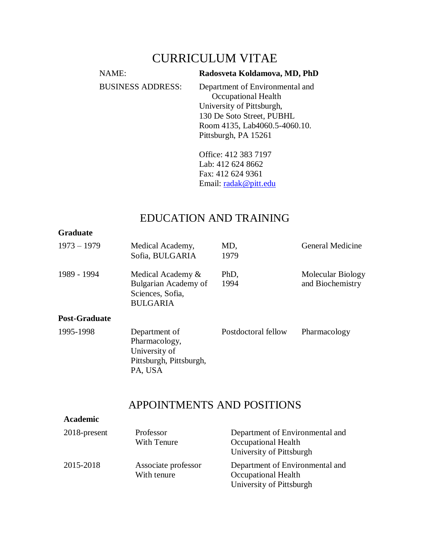# CURRICULUM VITAE

| NAME:                    | Radosveta Koldamova, MD, PhD                                                                                                                                              |
|--------------------------|---------------------------------------------------------------------------------------------------------------------------------------------------------------------------|
| <b>BUSINESS ADDRESS:</b> | Department of Environmental and<br>Occupational Health<br>University of Pittsburgh,<br>130 De Soto Street, PUBHL<br>Room 4135, Lab4060.5-4060.10.<br>Pittsburgh, PA 15261 |
|                          | Office: 412 383 7197                                                                                                                                                      |

Lab: 412 624 8662 Fax: 412 624 9361 Email: [radak@pitt.edu](mailto:radak@pitt.edu)

# EDUCATION AND TRAINING

## **Graduate**

| $1973 - 1979$        | Medical Academy,<br>Sofia, BULGARIA                                                   | MD,<br>1979         | General Medicine                      |
|----------------------|---------------------------------------------------------------------------------------|---------------------|---------------------------------------|
| 1989 - 1994          | Medical Academy &<br>Bulgarian Academy of<br>Sciences, Sofia,<br><b>BULGARIA</b>      | PhD,<br>1994        | Molecular Biology<br>and Biochemistry |
| <b>Post-Graduate</b> |                                                                                       |                     |                                       |
| 1995-1998            | Department of<br>Pharmacology,<br>University of<br>Pittsburgh, Pittsburgh,<br>PA, USA | Postdoctoral fellow | Pharmacology                          |

# APPOINTMENTS AND POSITIONS

## **Academic**

| $2018$ -present | Professor<br>With Tenure           | Department of Environmental and<br><b>Occupational Health</b><br>University of Pittsburgh |
|-----------------|------------------------------------|-------------------------------------------------------------------------------------------|
| 2015-2018       | Associate professor<br>With tenure | Department of Environmental and<br>Occupational Health<br>University of Pittsburgh        |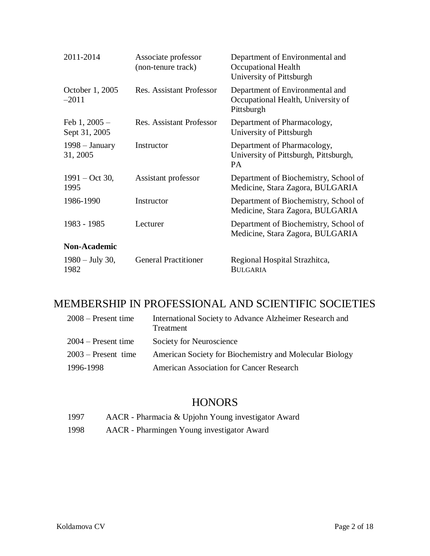| 2011-2014                        | Associate professor<br>(non-tenure track) | Department of Environmental and<br>Occupational Health<br>University of Pittsburgh  |
|----------------------------------|-------------------------------------------|-------------------------------------------------------------------------------------|
| October 1, 2005<br>$-2011$       | <b>Res. Assistant Professor</b>           | Department of Environmental and<br>Occupational Health, University of<br>Pittsburgh |
| Feb $1, 2005 -$<br>Sept 31, 2005 | <b>Res. Assistant Professor</b>           | Department of Pharmacology,<br>University of Pittsburgh                             |
| $1998 - January$<br>31, 2005     | Instructor                                | Department of Pharmacology,<br>University of Pittsburgh, Pittsburgh,<br>PA          |
| $1991 - Oct 30,$<br>1995         | Assistant professor                       | Department of Biochemistry, School of<br>Medicine, Stara Zagora, BULGARIA           |
| 1986-1990                        | Instructor                                | Department of Biochemistry, School of<br>Medicine, Stara Zagora, BULGARIA           |
| 1983 - 1985                      | Lecturer                                  | Department of Biochemistry, School of<br>Medicine, Stara Zagora, BULGARIA           |
| <b>Non-Academic</b>              |                                           |                                                                                     |
| $1980 - July 30,$<br>1982        | <b>General Practitioner</b>               | Regional Hospital Strazhitca,<br><b>BULGARIA</b>                                    |

# MEMBERSHIP IN PROFESSIONAL AND SCIENTIFIC SOCIETIES

| $2008$ – Present time | International Society to Advance Alzheimer Research and<br>Treatment |
|-----------------------|----------------------------------------------------------------------|
| $2004$ – Present time | Society for Neuroscience                                             |
| $2003$ – Present time | American Society for Biochemistry and Molecular Biology              |
| 1996-1998             | <b>American Association for Cancer Research</b>                      |

# **HONORS**

- 1997 AACR Pharmacia & Upjohn Young investigator Award
- 1998 AACR Pharmingen Young investigator Award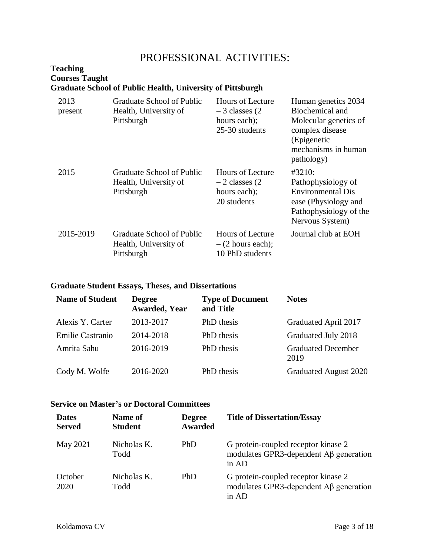# PROFESSIONAL ACTIVITIES:

## **Teaching Courses Taught Graduate School of Public Health, University of Pittsburgh**

| 2013<br>present | Graduate School of Public<br>Health, University of<br>Pittsburgh | Hours of Lecture<br>$-3$ classes (2)<br>hours each);<br>25-30 students     | Human genetics 2034<br>Biochemical and<br>Molecular genetics of<br>complex disease<br>(Epigenetic<br>mechanisms in human<br>pathology) |
|-----------------|------------------------------------------------------------------|----------------------------------------------------------------------------|----------------------------------------------------------------------------------------------------------------------------------------|
| 2015            | Graduate School of Public<br>Health, University of<br>Pittsburgh | <b>Hours of Lecture</b><br>$-2$ classes (2)<br>hours each);<br>20 students | #3210:<br>Pathophysiology of<br><b>Environmental Dis</b><br>ease (Physiology and<br>Pathophysiology of the<br>Nervous System)          |
| 2015-2019       | Graduate School of Public<br>Health, University of<br>Pittsburgh | Hours of Lecture<br>$-$ (2 hours each);<br>10 PhD students                 | Journal club at EOH                                                                                                                    |

## **Graduate Student Essays, Theses, and Dissertations**

| <b>Name of Student</b> | <b>Degree</b><br><b>Awarded, Year</b> | <b>Type of Document</b><br>and Title | <b>Notes</b>                      |
|------------------------|---------------------------------------|--------------------------------------|-----------------------------------|
| Alexis Y. Carter       | 2013-2017                             | PhD thesis                           | Graduated April 2017              |
| Emilie Castranio       | 2014-2018                             | PhD thesis                           | Graduated July 2018               |
| Amrita Sahu            | 2016-2019                             | PhD thesis                           | <b>Graduated December</b><br>2019 |
| Cody M. Wolfe          | 2016-2020                             | PhD thesis                           | <b>Graduated August 2020</b>      |

## **Service on Master's or Doctoral Committees**

| <b>Dates</b><br><b>Served</b> | Name of<br><b>Student</b> | <b>Degree</b><br><b>Awarded</b> | <b>Title of Dissertation/Essay</b>                                                                          |
|-------------------------------|---------------------------|---------------------------------|-------------------------------------------------------------------------------------------------------------|
| May 2021                      | Nicholas K.<br>Todd       | <b>PhD</b>                      | G protein-coupled receptor kinase 2<br>modulates GPR3-dependent $\overrightarrow{AB}$ generation<br>in $AD$ |
| October<br>2020               | Nicholas K.<br>Todd       | <b>PhD</b>                      | G protein-coupled receptor kinase 2<br>modulates GPR3-dependent $\overrightarrow{AB}$ generation<br>in AD   |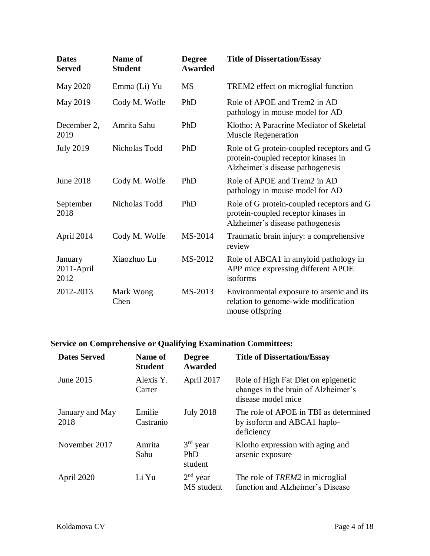| <b>Dates</b><br><b>Served</b> | Name of<br><b>Student</b> | <b>Degree</b><br><b>Awarded</b> | <b>Title of Dissertation/Essay</b>                                                                                   |
|-------------------------------|---------------------------|---------------------------------|----------------------------------------------------------------------------------------------------------------------|
| May 2020                      | Emma (Li) Yu              | <b>MS</b>                       | TREM2 effect on microglial function                                                                                  |
| May 2019                      | Cody M. Wofle             | PhD                             | Role of APOE and Trem2 in AD<br>pathology in mouse model for AD                                                      |
| December 2,<br>2019           | Amrita Sahu               | PhD                             | Klotho: A Paracrine Mediator of Skeletal<br><b>Muscle Regeneration</b>                                               |
| <b>July 2019</b>              | Nicholas Todd             | PhD                             | Role of G protein-coupled receptors and G<br>protein-coupled receptor kinases in<br>Alzheimer's disease pathogenesis |
| <b>June 2018</b>              | Cody M. Wolfe             | PhD                             | Role of APOE and Trem2 in AD<br>pathology in mouse model for AD                                                      |
| September<br>2018             | Nicholas Todd             | PhD                             | Role of G protein-coupled receptors and G<br>protein-coupled receptor kinases in<br>Alzheimer's disease pathogenesis |
| April 2014                    | Cody M. Wolfe             | MS-2014                         | Traumatic brain injury: a comprehensive<br>review                                                                    |
| January<br>2011-April<br>2012 | Xiaozhuo Lu               | MS-2012                         | Role of ABCA1 in amyloid pathology in<br>APP mice expressing different APOE<br>isoforms                              |
| 2012-2013                     | Mark Wong<br>Chen         | MS-2013                         | Environmental exposure to arsenic and its<br>relation to genome-wide modification<br>mouse offspring                 |

## **Service on Comprehensive or Qualifying Examination Committees:**

| <b>Dates Served</b>     | Name of<br><b>Student</b> | <b>Degree</b><br>Awarded     | <b>Title of Dissertation/Essay</b>                                                               |
|-------------------------|---------------------------|------------------------------|--------------------------------------------------------------------------------------------------|
| June 2015               | Alexis Y.<br>Carter       | April 2017                   | Role of High Fat Diet on epigenetic<br>changes in the brain of Alzheimer's<br>disease model mice |
| January and May<br>2018 | Emilie<br>Castranio       | <b>July 2018</b>             | The role of APOE in TBI as determined<br>by isoform and ABCA1 haplo-<br>deficiency               |
| November 2017           | Amrita<br>Sahu            | $3rd$ year<br>PhD<br>student | Klotho expression with aging and<br>arsenic exposure                                             |
| April 2020              | Li Yu                     | $2nd$ year<br>MS student     | The role of TREM2 in microglial<br>function and Alzheimer's Disease                              |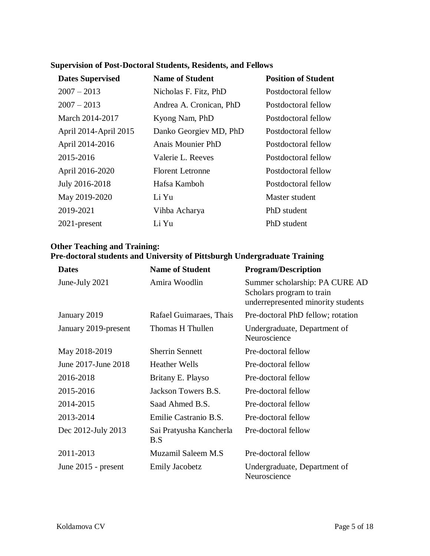| <b>Dates Supervised</b> | <b>Name of Student</b>  | <b>Position of Student</b> |
|-------------------------|-------------------------|----------------------------|
| $2007 - 2013$           | Nicholas F. Fitz, PhD   | Postdoctoral fellow        |
| $2007 - 2013$           | Andrea A. Cronican, PhD | Postdoctoral fellow        |
| March 2014-2017         | Kyong Nam, PhD          | Postdoctoral fellow        |
| April 2014-April 2015   | Danko Georgiev MD, PhD  | Postdoctoral fellow        |
| April 2014-2016         | Anais Mounier PhD       | Postdoctoral fellow        |
| 2015-2016               | Valerie L. Reeves       | Postdoctoral fellow        |
| April 2016-2020         | <b>Florent Letronne</b> | Postdoctoral fellow        |
| July 2016-2018          | Hafsa Kamboh            | Postdoctoral fellow        |
| May 2019-2020           | Li Yu                   | Master student             |
| 2019-2021               | Vihba Acharya           | PhD student                |
| $2021$ -present         | Li Yu                   | PhD student                |

## **Supervision of Post-Doctoral Students, Residents, and Fellows**

## **Other Teaching and Training: Pre-doctoral students and University of Pittsburgh Undergraduate Training**

| <b>Dates</b>         | <b>Name of Student</b>         | <b>Program/Description</b>                                                                        |
|----------------------|--------------------------------|---------------------------------------------------------------------------------------------------|
| June-July 2021       | Amira Woodlin                  | Summer scholarship: PA CURE AD<br>Scholars program to train<br>underrepresented minority students |
| January 2019         | Rafael Guimaraes, Thais        | Pre-doctoral PhD fellow; rotation                                                                 |
| January 2019-present | Thomas H Thullen               | Undergraduate, Department of<br>Neuroscience                                                      |
| May 2018-2019        | <b>Sherrin Sennett</b>         | Pre-doctoral fellow                                                                               |
| June 2017-June 2018  | <b>Heather Wells</b>           | Pre-doctoral fellow                                                                               |
| 2016-2018            | Britany E. Playso              | Pre-doctoral fellow                                                                               |
| 2015-2016            | Jackson Towers B.S.            | Pre-doctoral fellow                                                                               |
| 2014-2015            | Saad Ahmed B.S.                | Pre-doctoral fellow                                                                               |
| 2013-2014            | Emilie Castranio B.S.          | Pre-doctoral fellow                                                                               |
| Dec 2012-July 2013   | Sai Pratyusha Kancherla<br>B.S | Pre-doctoral fellow                                                                               |
| 2011-2013            | Muzamil Saleem M.S             | Pre-doctoral fellow                                                                               |
| June 2015 - present  | <b>Emily Jacobetz</b>          | Undergraduate, Department of<br>Neuroscience                                                      |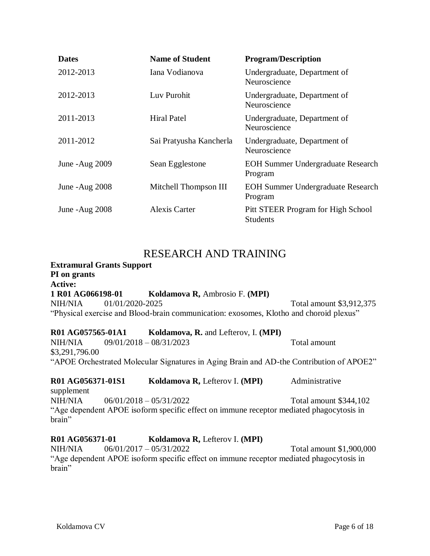| <b>Dates</b>    | <b>Name of Student</b>  | <b>Program/Description</b>                            |
|-----------------|-------------------------|-------------------------------------------------------|
| 2012-2013       | Iana Vodianova          | Undergraduate, Department of<br>Neuroscience          |
| 2012-2013       | Luv Purohit             | Undergraduate, Department of<br>Neuroscience          |
| 2011-2013       | <b>Hiral Patel</b>      | Undergraduate, Department of<br>Neuroscience          |
| 2011-2012       | Sai Pratyusha Kancherla | Undergraduate, Department of<br>Neuroscience          |
| June - Aug 2009 | Sean Egglestone         | <b>EOH Summer Undergraduate Research</b><br>Program   |
| June - Aug 2008 | Mitchell Thompson III   | <b>EOH Summer Undergraduate Research</b><br>Program   |
| June - Aug 2008 | <b>Alexis Carter</b>    | Pitt STEER Program for High School<br><b>Students</b> |

## RESEARCH AND TRAINING

## **Extramural Grants Support PI on grants Active: 1 R01 AG066198-01 Koldamova R,** Ambrosio F. **(MPI)** NIH/NIA 01/01/2020-2025 Total amount \$3,912,375 "Physical exercise and Blood-brain communication: exosomes, Klotho and choroid plexus"

#### **R01 AG057565-01A1 Koldamova, R.** and Lefterov, I. **(MPI)** NIH/NIA 09/01/2018 – 08/31/2023 Total amount \$3,291,796.00 "APOE Orchestrated Molecular Signatures in Aging Brain and AD-the Contribution of APOE2"

#### **R01 AG056371-01S1 Koldamova R,** Lefterov I. **(MPI)** Administrative supplement NIH/NIA  $06/01/2018 - 05/31/2022$  Total amount \$344,102

"Age dependent APOE isoform specific effect on immune receptor mediated phagocytosis in brain"

## **R01 AG056371-01 Koldamova R,** Lefterov I. **(MPI)**

NIH/NIA 06/01/2017 – 05/31/2022 Total amount \$1,900,000 "Age dependent APOE isoform specific effect on immune receptor mediated phagocytosis in brain"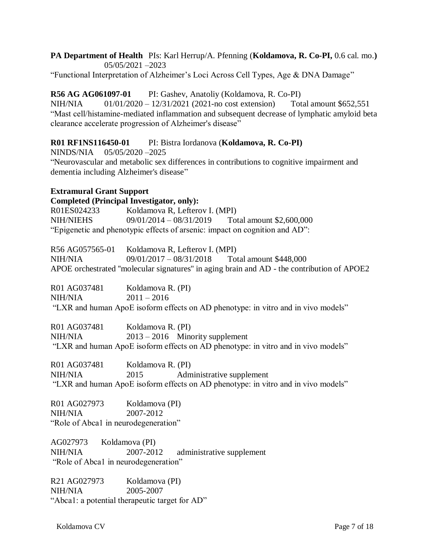#### **PA Department of Health** PIs: Karl Herrup/A. Pfenning (**Koldamova, R. Co-PI,** 0.6 cal. mo.**)** 05/05/2021 –2023

"Functional Interpretation of Alzheimer's Loci Across Cell Types, Age & DNA Damage"

#### **R56 AG AG061097-01** PI: Gashev, Anatoliy (Koldamova, R. Co-PI)

NIH/NIA 01/01/2020 – 12/31/2021 (2021-no cost extension) Total amount \$652,551 "Mast cell/histamine-mediated inflammation and subsequent decrease of lymphatic amyloid beta clearance accelerate progression of Alzheimer's disease"

#### **R01 RF1NS116450-01** PI: Bistra Iordanova (**Koldamova, R. Co-PI)**

NINDS/NIA 05/05/2020 –2025

"Neurovascular and metabolic sex differences in contributions to cognitive impairment and dementia including Alzheimer's disease"

#### **Extramural Grant Support**

**Completed (Principal Investigator, only):** R01ES024233 Koldamova R, Lefterov I. (MPI) NIH/NIEHS 09/01/2014 – 08/31/2019 Total amount \$2,600,000 "Epigenetic and phenotypic effects of arsenic: impact on cognition and AD":

R56 AG057565-01 Koldamova R, Lefterov I. (MPI) NIH/NIA 09/01/2017 – 08/31/2018 Total amount \$448,000 APOE orchestrated ''molecular signatures'' in aging brain and AD - the contribution of APOE2

R01 AG037481 Koldamova R. (PI) NIH/NIA 2011 – 2016 "LXR and human ApoE isoform effects on AD phenotype: in vitro and in vivo models"

R01 AG037481 Koldamova R. (PI) NIH/NIA 2013 – 2016 Minority supplement "LXR and human ApoE isoform effects on AD phenotype: in vitro and in vivo models"

R01 AG037481 Koldamova R. (PI) NIH/NIA 2015 Administrative supplement "LXR and human ApoE isoform effects on AD phenotype: in vitro and in vivo models"

R01 AG027973 Koldamova (PI) NIH/NIA 2007-2012 "Role of Abca1 in neurodegeneration"

AG027973 Koldamova (PI) NIH/NIA 2007-2012 administrative supplement "Role of Abca1 in neurodegeneration"

R21 AG027973 Koldamova (PI) NIH/NIA 2005-2007 "Abca1: a potential therapeutic target for AD"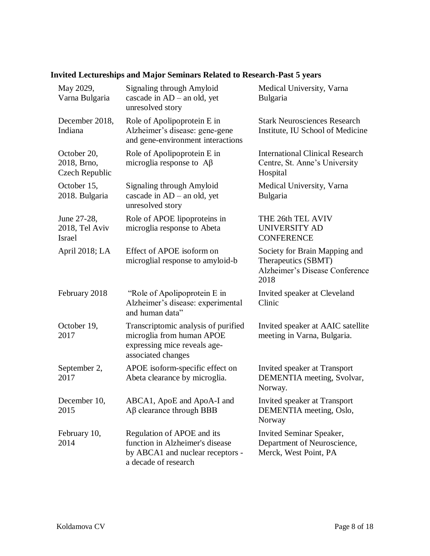| <b>Invited Lectureships and Major Seminars Related to Research-Past 5 years</b> |  |  |  |  |  |  |
|---------------------------------------------------------------------------------|--|--|--|--|--|--|
|---------------------------------------------------------------------------------|--|--|--|--|--|--|

| May 2029,<br>Varna Bulgaria                    | Signaling through Amyloid<br>cascade in $AD - an$ old, yet<br>unresolved story                                            | Medical University, Varna<br><b>Bulgaria</b>                                                   |
|------------------------------------------------|---------------------------------------------------------------------------------------------------------------------------|------------------------------------------------------------------------------------------------|
| December 2018,<br>Indiana                      | Role of Apolipoprotein E in<br>Alzheimer's disease: gene-gene<br>and gene-environment interactions                        | <b>Stark Neurosciences Research</b><br>Institute, IU School of Medicine                        |
| October 20,<br>2018, Brno,<br>Czech Republic   | Role of Apolipoprotein E in<br>microglia response to $A\beta$                                                             | <b>International Clinical Research</b><br>Centre, St. Anne's University<br>Hospital            |
| October 15,<br>2018. Bulgaria                  | Signaling through Amyloid<br>cascade in AD - an old, yet<br>unresolved story                                              | Medical University, Varna<br>Bulgaria                                                          |
| June 27-28,<br>2018, Tel Aviv<br><b>Israel</b> | Role of APOE lipoproteins in<br>microglia response to Abeta                                                               | THE 26th TEL AVIV<br><b>UNIVERSITY AD</b><br><b>CONFERENCE</b>                                 |
| April 2018; LA                                 | Effect of APOE isoform on<br>microglial response to amyloid-b                                                             | Society for Brain Mapping and<br>Therapeutics (SBMT)<br>Alzheimer's Disease Conference<br>2018 |
| February 2018                                  | "Role of Apolipoprotein E in<br>Alzheimer's disease: experimental<br>and human data"                                      | Invited speaker at Cleveland<br>Clinic                                                         |
| October 19,<br>2017                            | Transcriptomic analysis of purified<br>microglia from human APOE<br>expressing mice reveals age-<br>associated changes    | Invited speaker at AAIC satellite<br>meeting in Varna, Bulgaria.                               |
| September 2,<br>2017                           | APOE isoform-specific effect on<br>Abeta clearance by microglia.                                                          | Invited speaker at Transport<br>DEMENTIA meeting, Svolvar,<br>Norway.                          |
| December 10,<br>2015                           | ABCA1, ApoE and ApoA-I and<br>$A\beta$ clearance through BBB                                                              | Invited speaker at Transport<br>DEMENTIA meeting, Oslo,<br>Norway                              |
| February 10,<br>2014                           | Regulation of APOE and its<br>function in Alzheimer's disease<br>by ABCA1 and nuclear receptors -<br>a decade of research | <b>Invited Seminar Speaker,</b><br>Department of Neuroscience,<br>Merck, West Point, PA        |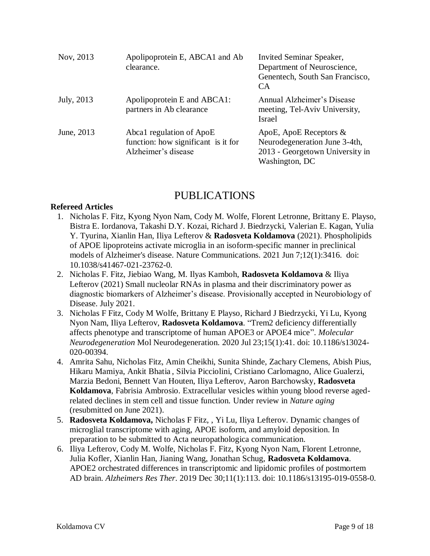| Nov, 2013  | Apolipoprotein E, ABCA1 and Ab<br>clearance.                                           | <b>Invited Seminar Speaker,</b><br>Department of Neuroscience,<br>Genentech, South San Francisco,<br><b>CA</b>  |
|------------|----------------------------------------------------------------------------------------|-----------------------------------------------------------------------------------------------------------------|
| July, 2013 | Apolipoprotein E and ABCA1:<br>partners in Ab clearance                                | Annual Alzheimer's Disease<br>meeting, Tel-Aviv University,<br>Israel                                           |
| June, 2013 | Abca1 regulation of ApoE<br>function: how significant is it for<br>Alzheimer's disease | ApoE, ApoE Receptors $\&$<br>Neurodegeneration June 3-4th,<br>2013 - Georgetown University in<br>Washington, DC |

## PUBLICATIONS

#### **Refereed Articles**

- 1. Nicholas F. Fitz, Kyong Nyon Nam, Cody M. Wolfe, Florent Letronne, Brittany E. Playso, Bistra E. Iordanova, Takashi D.Y. Kozai, Richard J. Biedrzycki, Valerian E. Kagan, Yulia Y. Tyurina, Xianlin Han, Iliya Lefterov & **Radosveta Koldamova** (2021). Phospholipids of APOE lipoproteins activate microglia in an isoform-specific manner in preclinical models of Alzheimer's disease. Nature Communications. 2021 Jun 7;12(1):3416. doi: 10.1038/s41467-021-23762-0.
- 2. Nicholas F. Fitz, Jiebiao Wang, M. Ilyas Kamboh, **Radosveta Koldamova** & Iliya Lefterov (2021) Small nucleolar RNAs in plasma and their discriminatory power as diagnostic biomarkers of Alzheimer's disease. Provisionally accepted in Neurobiology of Disease. July 2021.
- 3. Nicholas F Fitz, Cody M Wolfe, Brittany E Playso, Richard J Biedrzycki, Yi Lu, Kyong Nyon Nam, Iliya Lefterov, **Radosveta Koldamova**. "Trem2 deficiency differentially affects phenotype and transcriptome of human APOE3 or APOE4 mice". *Molecular Neurodegeneration* Mol Neurodegeneration. 2020 Jul 23;15(1):41. doi: 10.1186/s13024- 020-00394.
- 4. Amrita Sahu, Nicholas Fitz, Amin Cheikhi, Sunita Shinde, Zachary Clemens, Abish Pius, Hikaru Mamiya, Ankit Bhatia , Silvia Picciolini, Cristiano Carlomagno, Alice Gualerzi, Marzia Bedoni, Bennett Van Houten, Iliya Lefterov, Aaron Barchowsky, **Radosveta Koldamova**, Fabrisia Ambrosio. Extracellular vesicles within young blood reverse agedrelated declines in stem cell and tissue function. Under review in *Nature aging* (resubmitted on June 2021).
- 5. **Radosveta Koldamova,** Nicholas F Fitz, , Yi Lu, Iliya Lefterov. Dynamic changes of microglial transcriptome with aging, APOE isoform, and amyloid deposition. In preparation to be submitted to Acta neuropathologica communication.
- 6. Iliya Lefterov, Cody M. Wolfe, Nicholas F. Fitz, Kyong Nyon Nam, Florent Letronne, Julia Kofler, Xianlin Han, Jianing Wang, Jonathan Schug, **Radosveta Koldamova**. APOE2 orchestrated differences in transcriptomic and lipidomic profiles of postmortem AD brain. *Alzheimers Res Ther*. 2019 Dec 30;11(1):113. doi: 10.1186/s13195-019-0558-0.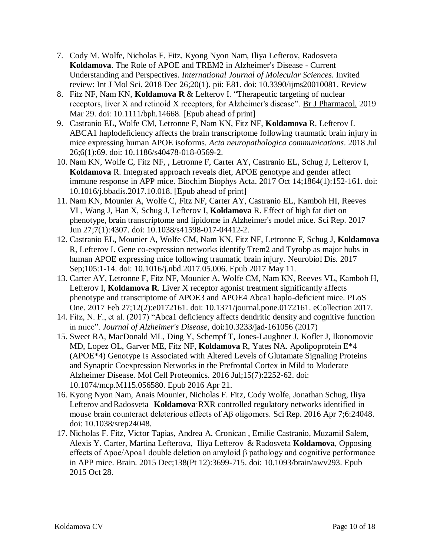- 7. Cody M. Wolfe, Nicholas F. Fitz, Kyong Nyon Nam, Iliya Lefterov, Radosveta **Koldamova**. The Role of APOE and TREM2 in Alzheimer's Disease - Current Understanding and Perspectives. *International Journal of Molecular Sciences.* Invited review: Int J Mol Sci. 2018 Dec 26;20(1). pii: E81. doi: 10.3390/ijms20010081. Review
- 8. [Fitz NF,](https://www.ncbi.nlm.nih.gov/pubmed/?term=Fitz%20NF%5BAuthor%5D&cauthor=true&cauthor_uid=30924124) [Nam KN,](https://www.ncbi.nlm.nih.gov/pubmed/?term=Nam%20KN%5BAuthor%5D&cauthor=true&cauthor_uid=30924124) **[Koldamova](https://www.ncbi.nlm.nih.gov/pubmed/?term=Koldamova%20R%5BAuthor%5D&cauthor=true&cauthor_uid=30924124) R** & [Lefterov I.](https://www.ncbi.nlm.nih.gov/pubmed/?term=Lefterov%20I%5BAuthor%5D&cauthor=true&cauthor_uid=30924124) "Therapeutic targeting of nuclear receptors, liver X and retinoid X receptors, for Alzheimer's disease". [Br J Pharmacol.](https://www.ncbi.nlm.nih.gov/pubmed/30924124) 2019 Mar 29. doi: 10.1111/bph.14668. [Epub ahead of print]
- 9. [Castranio EL,](https://www.ncbi.nlm.nih.gov/pubmed/?term=Castranio%20EL%5BAuthor%5D&cauthor=true&cauthor_uid=28502803) [Wolfe CM,](https://www.ncbi.nlm.nih.gov/pubmed/?term=Wolfe%20CM%5BAuthor%5D&cauthor=true&cauthor_uid=28502803) [Letronne F,](https://www.ncbi.nlm.nih.gov/pubmed/?term=Letronne%20F%5BAuthor%5D&cauthor=true&cauthor_uid=28502803) [Nam KN,](https://www.ncbi.nlm.nih.gov/pubmed/?term=Nam%20KN%5BAuthor%5D&cauthor=true&cauthor_uid=28502803) [Fitz](https://www.ncbi.nlm.nih.gov/pubmed/?term=Fitz%20NF%5BAuthor%5D&cauthor=true&cauthor_uid=28502803) NF, **[Koldamova](https://www.ncbi.nlm.nih.gov/pubmed/?term=Koldamova%20R%5BAuthor%5D&cauthor=true&cauthor_uid=28502803)** R, [Lefterov I.](https://www.ncbi.nlm.nih.gov/pubmed/?term=Lefterov%20I%5BAuthor%5D&cauthor=true&cauthor_uid=28502803) ABCA1 haplodeficiency affects the brain transcriptome following traumatic brain injury in mice expressing human APOE isoforms. *Acta neuropathologica communications*. 2018 Jul 26;6(1):69. doi: 10.1186/s40478-018-0569-2.
- 10. [Nam KN,](https://www.ncbi.nlm.nih.gov/pubmed/?term=Nam%20KN%5BAuthor%5D&cauthor=true&cauthor_uid=28655926) Wolfe C, [Fitz NF,](https://www.ncbi.nlm.nih.gov/pubmed/?term=Fitz%20NF%5BAuthor%5D&cauthor=true&cauthor_uid=28655926) , [Letronne F,](https://www.ncbi.nlm.nih.gov/pubmed/?term=Letronne%20F%5BAuthor%5D&cauthor=true&cauthor_uid=28502803) [Carter AY,](https://www.ncbi.nlm.nih.gov/pubmed/?term=Carter%20AY%5BAuthor%5D&cauthor=true&cauthor_uid=28655926) [Castranio EL,](https://www.ncbi.nlm.nih.gov/pubmed/?term=Castranio%20EL%5BAuthor%5D&cauthor=true&cauthor_uid=28655926) [Schug J,](https://www.ncbi.nlm.nih.gov/pubmed/?term=Schug%20J%5BAuthor%5D&cauthor=true&cauthor_uid=28655926) [Lefterov I,](https://www.ncbi.nlm.nih.gov/pubmed/?term=Lefterov%20I%5BAuthor%5D&cauthor=true&cauthor_uid=28655926) **[Koldamova](https://www.ncbi.nlm.nih.gov/pubmed/?term=Koldamova%20R%5BAuthor%5D&cauthor=true&cauthor_uid=28655926)** R. Integrated approach reveals diet, APOE genotype and gender affect immune response in APP mice. Biochim Biophys Acta. 2017 Oct 14;1864(1):152-161. doi: 10.1016/j.bbadis.2017.10.018. [Epub ahead of print]
- 11. [Nam KN,](https://www.ncbi.nlm.nih.gov/pubmed/?term=Nam%20KN%5BAuthor%5D&cauthor=true&cauthor_uid=28655926) [Mounier A,](https://www.ncbi.nlm.nih.gov/pubmed/?term=Mounier%20A%5BAuthor%5D&cauthor=true&cauthor_uid=28655926) Wolfe C, [Fitz NF,](https://www.ncbi.nlm.nih.gov/pubmed/?term=Fitz%20NF%5BAuthor%5D&cauthor=true&cauthor_uid=28655926) [Carter AY,](https://www.ncbi.nlm.nih.gov/pubmed/?term=Carter%20AY%5BAuthor%5D&cauthor=true&cauthor_uid=28655926) [Castranio EL,](https://www.ncbi.nlm.nih.gov/pubmed/?term=Castranio%20EL%5BAuthor%5D&cauthor=true&cauthor_uid=28655926) [Kamboh HI,](https://www.ncbi.nlm.nih.gov/pubmed/?term=Kamboh%20HI%5BAuthor%5D&cauthor=true&cauthor_uid=28655926) [Reeves](https://www.ncbi.nlm.nih.gov/pubmed/?term=Reeves%20VL%5BAuthor%5D&cauthor=true&cauthor_uid=28655926)  [VL,](https://www.ncbi.nlm.nih.gov/pubmed/?term=Reeves%20VL%5BAuthor%5D&cauthor=true&cauthor_uid=28655926) [Wang J,](https://www.ncbi.nlm.nih.gov/pubmed/?term=Wang%20J%5BAuthor%5D&cauthor=true&cauthor_uid=28655926) [Han X,](https://www.ncbi.nlm.nih.gov/pubmed/?term=Han%20X%5BAuthor%5D&cauthor=true&cauthor_uid=28655926) [Schug J,](https://www.ncbi.nlm.nih.gov/pubmed/?term=Schug%20J%5BAuthor%5D&cauthor=true&cauthor_uid=28655926) [Lefterov I,](https://www.ncbi.nlm.nih.gov/pubmed/?term=Lefterov%20I%5BAuthor%5D&cauthor=true&cauthor_uid=28655926) **[Koldamova](https://www.ncbi.nlm.nih.gov/pubmed/?term=Koldamova%20R%5BAuthor%5D&cauthor=true&cauthor_uid=28655926)** R. Effect of high fat diet on phenotype, brain transcriptome and lipidome in Alzheimer's model mice. [Sci Rep.](https://www.ncbi.nlm.nih.gov/pubmed/28655926) 2017 Jun 27;7(1):4307. doi: 10.1038/s41598-017-04412-2.
- 12. [Castranio EL,](https://www.ncbi.nlm.nih.gov/pubmed/?term=Castranio%20EL%5BAuthor%5D&cauthor=true&cauthor_uid=28502803) [Mounier A,](https://www.ncbi.nlm.nih.gov/pubmed/?term=Mounier%20A%5BAuthor%5D&cauthor=true&cauthor_uid=28502803) [Wolfe CM,](https://www.ncbi.nlm.nih.gov/pubmed/?term=Wolfe%20CM%5BAuthor%5D&cauthor=true&cauthor_uid=28502803) [Nam KN,](https://www.ncbi.nlm.nih.gov/pubmed/?term=Nam%20KN%5BAuthor%5D&cauthor=true&cauthor_uid=28502803) [Fitz NF,](https://www.ncbi.nlm.nih.gov/pubmed/?term=Fitz%20NF%5BAuthor%5D&cauthor=true&cauthor_uid=28502803) [Letronne F,](https://www.ncbi.nlm.nih.gov/pubmed/?term=Letronne%20F%5BAuthor%5D&cauthor=true&cauthor_uid=28502803) [Schug J,](https://www.ncbi.nlm.nih.gov/pubmed/?term=Schug%20J%5BAuthor%5D&cauthor=true&cauthor_uid=28502803) **[Koldamova](https://www.ncbi.nlm.nih.gov/pubmed/?term=Koldamova%20R%5BAuthor%5D&cauthor=true&cauthor_uid=28502803)** [R,](https://www.ncbi.nlm.nih.gov/pubmed/?term=Koldamova%20R%5BAuthor%5D&cauthor=true&cauthor_uid=28502803) [Lefterov I.](https://www.ncbi.nlm.nih.gov/pubmed/?term=Lefterov%20I%5BAuthor%5D&cauthor=true&cauthor_uid=28502803) Gene co-expression networks identify Trem2 and Tyrobp as major hubs in human APOE expressing mice following traumatic brain injury. [Neurobiol Dis.](https://www.ncbi.nlm.nih.gov/pubmed/28502803) 2017 Sep;105:1-14. doi: 10.1016/j.nbd.2017.05.006. Epub 2017 May 11.
- 13. [Carter AY,](https://www.ncbi.nlm.nih.gov/pubmed/?term=Carter%20AY%5BAuthor%5D&cauthor=true&cauthor_uid=28241068) [Letronne F,](https://www.ncbi.nlm.nih.gov/pubmed/?term=Letronne%20F%5BAuthor%5D&cauthor=true&cauthor_uid=28241068) [Fitz NF,](https://www.ncbi.nlm.nih.gov/pubmed/?term=Fitz%20NF%5BAuthor%5D&cauthor=true&cauthor_uid=28241068) [Mounier A,](https://www.ncbi.nlm.nih.gov/pubmed/?term=Mounier%20A%5BAuthor%5D&cauthor=true&cauthor_uid=28241068) [Wolfe CM,](https://www.ncbi.nlm.nih.gov/pubmed/?term=Wolfe%20CM%5BAuthor%5D&cauthor=true&cauthor_uid=28241068) [Nam KN,](https://www.ncbi.nlm.nih.gov/pubmed/?term=Nam%20KN%5BAuthor%5D&cauthor=true&cauthor_uid=28241068) [Reeves VL,](https://www.ncbi.nlm.nih.gov/pubmed/?term=Reeves%20VL%5BAuthor%5D&cauthor=true&cauthor_uid=28241068) [Kamboh H,](https://www.ncbi.nlm.nih.gov/pubmed/?term=Kamboh%20H%5BAuthor%5D&cauthor=true&cauthor_uid=28241068) [Lefterov I,](https://www.ncbi.nlm.nih.gov/pubmed/?term=Lefterov%20I%5BAuthor%5D&cauthor=true&cauthor_uid=28241068) **[Koldamova](https://www.ncbi.nlm.nih.gov/pubmed/?term=Koldamova%20R%5BAuthor%5D&cauthor=true&cauthor_uid=28241068) R**. Liver X receptor agonist treatment significantly affects phenotype and transcriptome of APOE3 and APOE4 Abca1 haplo-deficient mice. [PLoS](https://www.ncbi.nlm.nih.gov/pubmed/28241068)  [One.](https://www.ncbi.nlm.nih.gov/pubmed/28241068) 2017 Feb 27;12(2):e0172161. doi: 10.1371/journal.pone.0172161. eCollection 2017.
- 14. Fitz, N. F., et al. (2017) "Abca1 deficiency affects dendritic density and cognitive function in mice". *Journal of Alzheimer's Disease,* doi:10.3233/jad-161056 (2017)
- 15. [Sweet RA,](http://www-ncbi-nlm-nih-gov.pitt.idm.oclc.org/pubmed/?term=Sweet%20RA%5BAuthor%5D&cauthor=true&cauthor_uid=27103636) [MacDonald ML,](http://www-ncbi-nlm-nih-gov.pitt.idm.oclc.org/pubmed/?term=MacDonald%20ML%5BAuthor%5D&cauthor=true&cauthor_uid=27103636) [Ding Y,](http://www-ncbi-nlm-nih-gov.pitt.idm.oclc.org/pubmed/?term=Ding%20Y%5BAuthor%5D&cauthor=true&cauthor_uid=27103636) [Schempf T,](http://www-ncbi-nlm-nih-gov.pitt.idm.oclc.org/pubmed/?term=Schempf%20T%5BAuthor%5D&cauthor=true&cauthor_uid=27103636) [Jones-Laughner J,](http://www-ncbi-nlm-nih-gov.pitt.idm.oclc.org/pubmed/?term=Jones-Laughner%20J%5BAuthor%5D&cauthor=true&cauthor_uid=27103636) [Kofler J,](http://www-ncbi-nlm-nih-gov.pitt.idm.oclc.org/pubmed/?term=Kofler%20J%5BAuthor%5D&cauthor=true&cauthor_uid=27103636) [Ikonomovic](http://www-ncbi-nlm-nih-gov.pitt.idm.oclc.org/pubmed/?term=Ikonomovic%20MD%5BAuthor%5D&cauthor=true&cauthor_uid=27103636)  [MD,](http://www-ncbi-nlm-nih-gov.pitt.idm.oclc.org/pubmed/?term=Ikonomovic%20MD%5BAuthor%5D&cauthor=true&cauthor_uid=27103636) [Lopez OL,](http://www-ncbi-nlm-nih-gov.pitt.idm.oclc.org/pubmed/?term=Lopez%20OL%5BAuthor%5D&cauthor=true&cauthor_uid=27103636) [Garver ME,](http://www-ncbi-nlm-nih-gov.pitt.idm.oclc.org/pubmed/?term=Garver%20ME%5BAuthor%5D&cauthor=true&cauthor_uid=27103636) [Fitz NF,](http://www-ncbi-nlm-nih-gov.pitt.idm.oclc.org/pubmed/?term=Fitz%20NF%5BAuthor%5D&cauthor=true&cauthor_uid=27103636) **[Koldamova](http://www-ncbi-nlm-nih-gov.pitt.idm.oclc.org/pubmed/?term=Koldamova%20R%5BAuthor%5D&cauthor=true&cauthor_uid=27103636)** R, [Yates NA.](http://www-ncbi-nlm-nih-gov.pitt.idm.oclc.org/pubmed/?term=Yates%20NA%5BAuthor%5D&cauthor=true&cauthor_uid=27103636) Apolipoprotein E\*4 (APOE\*4) Genotype Is Associated with Altered Levels of Glutamate Signaling Proteins and Synaptic Coexpression Networks in the Prefrontal Cortex in Mild to Moderate Alzheimer Disease. [Mol Cell Proteomics.](http://www-ncbi-nlm-nih-gov.pitt.idm.oclc.org/pubmed/27103636) 2016 Jul;15(7):2252-62. doi: 10.1074/mcp.M115.056580. Epub 2016 Apr 21.
- 16. Kyong Nyon Nam, Anais Mounier, Nicholas F. Fitz, Cody Wolfe, Jonathan Schug, Iliya Lefterov and Radosveta **Koldamova** RXR controlled regulatory networks identified in mouse brain counteract deleterious effects of Aβ oligomers. Sci Rep. 2016 Apr 7;6:24048. doi: 10.1038/srep24048.
- 17. Nicholas F. Fitz, Victor Tapias, Andrea A. Cronican , Emilie Castranio, Muzamil Salem, Alexis Y. Carter, Martina Lefterova, Iliya Lefterov & Radosveta **Koldamova**, Opposing effects of Apoe/Apoa1 double deletion on amyloid β pathology and cognitive performance in APP mice. Brain. 2015 Dec;138(Pt 12):3699-715. doi: 10.1093/brain/awv293. Epub 2015 Oct 28.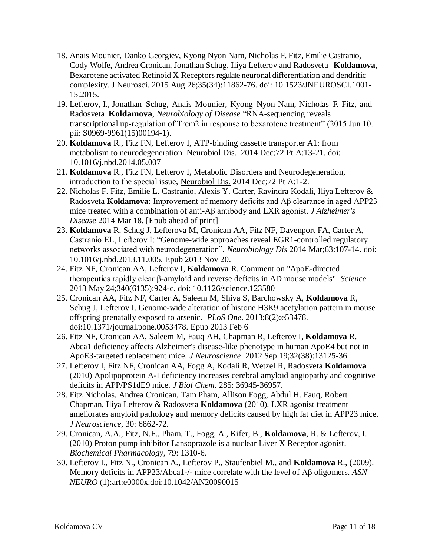- 18. Anais Mounier, Danko Georgiev, Kyong Nyon Nam, Nicholas F. Fitz, Emilie Castranio, Cody Wolfe, Andrea Cronican, Jonathan Schug, Iliya Lefterov and Radosveta **Koldamova**, Bexarotene activated Retinoid X Receptors regulate neuronal differentiation and dendritic complexity. [J Neurosci.](http://www.ncbi.nlm.nih.gov/pubmed/26311769) 2015 Aug 26;35(34):11862-76. doi: 10.1523/JNEUROSCI.1001- 15.2015.
- 19. Lefterov, I., Jonathan Schug, Anais Mounier, Kyong Nyon Nam, Nicholas F. Fitz, and Radosveta **Koldamova**, *Neurobiology of Disease* "RNA-sequencing reveals transcriptional up-regulation of Trem2 in response to bexarotene treatment" (2015 Jun 10. pii: S0969-9961(15)00194-1).
- 20. **Koldamova** R., Fitz FN, Lefterov I, ATP-binding cassette transporter A1: from metabolism to neurodegeneration. [Neurobiol Dis.](http://www.ncbi.nlm.nih.gov/pubmed/24844148) 2014 Dec;72 Pt A:13-21. doi: 10.1016/j.nbd.2014.05.007
- 21. **Koldamova** R., Fitz FN, Lefterov I, Metabolic Disorders and Neurodegeneration, introduction to the special issue, [Neurobiol Dis.](http://www.ncbi.nlm.nih.gov/pubmed/25301714) 2014 Dec;72 Pt A:1-2.
- 22. Nicholas F. Fitz, Emilie L. Castranio, Alexis Y. Carter, Ravindra Kodali, Iliya Lefterov & Radosveta **Koldamova**: Improvement of memory deficits and Aβ clearance in aged APP23 mice treated with a combination of anti-Aβ antibody and LXR agonist. *J Alzheimer's Disease* 2014 Mar 18. [Epub ahead of print]
- 23. **Koldamova** R, Schug J, Lefterova M, Cronican AA, Fitz NF, Davenport FA, Carter A, Castranio EL, Lefterov I: "Genome-wide approaches reveal EGR1-controlled regulatory networks associated with neurodegeneration". *Neurobiology Dis* 2014 Mar;63:107-14. doi: 10.1016/j.nbd.2013.11.005. Epub 2013 Nov 20.
- 24. [Fitz NF,](http://www.ncbi.nlm.nih.gov/pubmed?term=Fitz%20NF%5BAuthor%5D&cauthor=true&cauthor_uid=23704552) [Cronican AA,](http://www.ncbi.nlm.nih.gov/pubmed?term=Cronican%20AA%5BAuthor%5D&cauthor=true&cauthor_uid=23704552) [Lefterov I,](http://www.ncbi.nlm.nih.gov/pubmed?term=Lefterov%20I%5BAuthor%5D&cauthor=true&cauthor_uid=23704552) **[Koldamova](http://www.ncbi.nlm.nih.gov/pubmed?term=Koldamova%20R%5BAuthor%5D&cauthor=true&cauthor_uid=23704552)** R. Comment on "ApoE-directed therapeutics rapidly clear β-amyloid and reverse deficits in AD mouse models". *[Science.](http://www.ncbi.nlm.nih.gov/pubmed/23704552)* 2013 May 24;340(6135):924-c. doi: 10.1126/science.123580
- 25. [Cronican AA,](http://www.ncbi.nlm.nih.gov/pubmed?term=Cronican%20AA%5BAuthor%5D&cauthor=true&cauthor_uid=23405071) [Fitz NF,](http://www.ncbi.nlm.nih.gov/pubmed?term=Fitz%20NF%5BAuthor%5D&cauthor=true&cauthor_uid=23405071) [Carter A,](http://www.ncbi.nlm.nih.gov/pubmed?term=Carter%20A%5BAuthor%5D&cauthor=true&cauthor_uid=23405071) [Saleem M,](http://www.ncbi.nlm.nih.gov/pubmed?term=Saleem%20M%5BAuthor%5D&cauthor=true&cauthor_uid=23405071) [Shiva S,](http://www.ncbi.nlm.nih.gov/pubmed?term=Shiva%20S%5BAuthor%5D&cauthor=true&cauthor_uid=23405071) [Barchowsky A,](http://www.ncbi.nlm.nih.gov/pubmed?term=Barchowsky%20A%5BAuthor%5D&cauthor=true&cauthor_uid=23405071) **[Koldamova](http://www.ncbi.nlm.nih.gov/pubmed?term=Koldamova%20R%5BAuthor%5D&cauthor=true&cauthor_uid=23405071)** R, [Schug J,](http://www.ncbi.nlm.nih.gov/pubmed?term=Schug%20J%5BAuthor%5D&cauthor=true&cauthor_uid=23405071) [Lefterov I.](http://www.ncbi.nlm.nih.gov/pubmed?term=Lefterov%20I%5BAuthor%5D&cauthor=true&cauthor_uid=23405071) Genome-wide alteration of histone H3K9 acetylation pattern in mouse offspring prenatally exposed to arsenic. *[PLoS One](http://www.ncbi.nlm.nih.gov/pubmed/23405071)*. 2013;8(2):e53478. doi:10.1371/journal.pone.0053478. Epub 2013 Feb 6
- 26. [Fitz NF,](http://www.ncbi.nlm.nih.gov/pubmed?term=Fitz%20NF%5BAuthor%5D&cauthor=true&cauthor_uid=22993429) [Cronican AA,](http://www.ncbi.nlm.nih.gov/pubmed?term=Cronican%20AA%5BAuthor%5D&cauthor=true&cauthor_uid=22993429) [Saleem M,](http://www.ncbi.nlm.nih.gov/pubmed?term=Saleem%20M%5BAuthor%5D&cauthor=true&cauthor_uid=22993429) [Fauq AH,](http://www.ncbi.nlm.nih.gov/pubmed?term=Fauq%20AH%5BAuthor%5D&cauthor=true&cauthor_uid=22993429) [Chapman R,](http://www.ncbi.nlm.nih.gov/pubmed?term=Chapman%20R%5BAuthor%5D&cauthor=true&cauthor_uid=22993429) [Lefterov I,](http://www.ncbi.nlm.nih.gov/pubmed?term=Lefterov%20I%5BAuthor%5D&cauthor=true&cauthor_uid=22993429) **[Koldamova](http://www.ncbi.nlm.nih.gov/pubmed?term=Koldamova%20R%5BAuthor%5D&cauthor=true&cauthor_uid=22993429)** R. Abca1 deficiency affects Alzheimer's disease-like phenotype in human ApoE4 but not in ApoE3-targeted replacement mice. *[J Neuroscience](http://www.ncbi.nlm.nih.gov/pubmed/22993429)*. 2012 Sep 19;32(38):13125-36
- 27. Lefterov I, Fitz NF, Cronican AA, Fogg A, Kodali R, Wetzel R, Radosveta **Koldamova** (2010) Apolipoprotein A-I deficiency increases cerebral amyloid angiopathy and cognitive deficits in APP/PS1dE9 mice. *J Biol Chem*. 285: 36945-36957.
- 28. Fitz Nicholas, Andrea Cronican, Tam Pham, Allison Fogg, Abdul H. Fauq, Robert Chapman, Iliya Lefterov & Radosveta **Koldamova** (2010). LXR agonist treatment ameliorates amyloid pathology and memory deficits caused by high fat diet in APP23 mice. *J Neuroscience*, 30: 6862-72.
- 29. Cronican, A.A., Fitz, N.F., Pham, T., Fogg, A., Kifer, B., **Koldamova**, R. & Lefterov, I. (2010) Proton pump inhibitor Lansoprazole is a nuclear Liver X Receptor agonist. *Biochemical Pharmacology*, 79: 1310-6.
- 30. Lefterov I., Fitz N., Cronican A., Lefterov P., Staufenbiel M., and **Koldamova** R., (2009). Memory deficits in APP23/Abca1-/- mice correlate with the level of Aβ oligomers. *ASN NEURO* (1):art:e0000x.doi:10.1042/AN20090015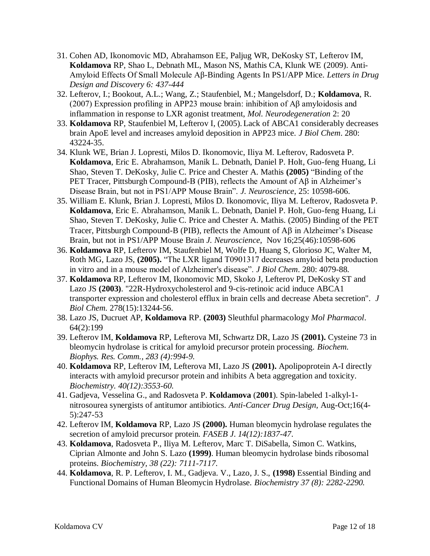- 31. Cohen AD, Ikonomovic MD, Abrahamson EE, Paljug WR, DeKosky ST, Lefterov IM, **Koldamova** RP, Shao L, Debnath ML, Mason NS, Mathis CA, Klunk WE (2009). Anti-Amyloid Effects Of Small Molecule Aβ-Binding Agents In PS1/APP Mice. *Letters in Drug Design and Discovery 6: 437-444*
- 32. Lefterov, I.; Bookout, A.L.; Wang, Z.; Staufenbiel, M.; Mangelsdorf, D.; **Koldamova**, R. (2007) Expression profiling in APP23 mouse brain: inhibition of Aβ amyloidosis and inflammation in response to LXR agonist treatment, *Mol. Neurodegeneration* 2: 20
- 33. **Koldamova** RP, Staufenbiel M, Lefterov I, (2005). Lack of ABCA1 considerably decreases brain ApoE level and increases amyloid deposition in APP23 mice. *J Biol Chem*. 280: 43224-35.
- 34. Klunk WE, Brian J. Lopresti, Milos D. Ikonomovic, Iliya M. Lefterov, Radosveta P. **Koldamova**, Eric E. Abrahamson, Manik L. Debnath, Daniel P. Holt, Guo-feng Huang, Li Shao, Steven T. DeKosky, Julie C. Price and Chester A. Mathis **(2005)** "Binding of the PET Tracer, Pittsburgh Compound-B (PIB), reflects the Amount of Aβ in Alzheimer's Disease Brain, but not in PS1/APP Mouse Brain". *J. Neuroscience*, 25: 10598-606.
- 35. William E. Klunk, Brian J. Lopresti, Milos D. Ikonomovic, Iliya M. Lefterov, Radosveta P. **Koldamova**, Eric E. Abrahamson, Manik L. Debnath, Daniel P. Holt, Guo-feng Huang, Li Shao, Steven T. DeKosky, Julie C. Price and Chester A. Mathis. (2005) Binding of the PET Tracer, Pittsburgh Compound-B (PIB), reflects the Amount of  $\overrightarrow{AB}$  in Alzheimer's Disease Brain, but not in PS1/APP Mouse Brain *J. Neuroscience*, Nov 16;25(46):10598-606
- 36. **Koldamova** RP, Lefterov IM, Staufenbiel M, Wolfe D, Huang S, Glorioso JC, Walter M, Roth MG, Lazo JS, **(2005).** "The LXR ligand T0901317 decreases amyloid beta production in vitro and in a mouse model of Alzheimer's disease". *J Biol Chem*. 280: 4079-88.
- 37. **Koldamova** RP, Lefterov IM, Ikonomovic MD, Skoko J, Lefterov PI, DeKosky ST and Lazo JS **(2003)**. "22R-Hydroxycholesterol and 9-cis-retinoic acid induce ABCA1 transporter expression and cholesterol efflux in brain cells and decrease Abeta secretion". *J Biol Chem.* 278(15):13244-56.
- 38. Lazo JS, Ducruet AP, **Koldamova** RP. **(2003)** Sleuthful pharmacology *Mol Pharmacol*. 64(2):199
- 39. Lefterov IM, **Koldamova** RP, Lefterova MI, Schwartz DR, Lazo JS **(2001).** Cysteine 73 in bleomycin hydrolase is critical for amyloid precursor protein processing. *Biochem. Biophys. Res. Comm., 283 (4):994-9.*
- 40. **Koldamova** RP, Lefterov IM, Lefterova MI, Lazo JS **(2001).** Apolipoprotein A-I directly interacts with amyloid precursor protein and inhibits A beta aggregation and toxicity. *Biochemistry. 40(12):3553-60.*
- 41. Gadjeva, Vesselina G., and Radosveta P. **Koldamova** (**2001**). Spin-labeled 1-alkyl-1 nitrosourea synergists of antitumor antibiotics. *Anti-Cancer Drug Design,* Aug-Oct;16(4- 5):247-53
- 42. Lefterov IM, **Koldamova** RP, Lazo JS **(2000).** Human bleomycin hydrolase regulates the secretion of amyloid precursor protein*. FASEB J*. *14(12):1837-47*.
- 43. **Koldamova**, Radosveta P., Iliya M. Lefterov, Marc T. DiSabella, Simon C. Watkins, Ciprian Almonte and John S. Lazo **(1999)**. Human bleomycin hydrolase binds ribosomal proteins. *Biochemistry, 38 (22): 7111-7117.*
- 44. **Koldamova**, R. P. Lefterov, I. M., Gadjeva. V., Lazo, J. S., **(1998)** Essential Binding and Functional Domains of Human Bleomycin Hydrolase. *Biochemistry 37 (8): 2282-2290.*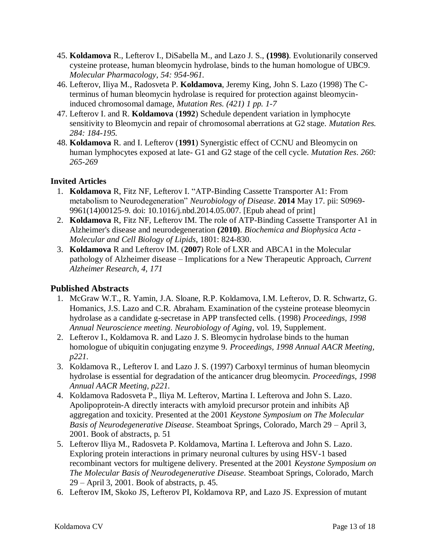- 45. **Koldamova** R., Lefterov I., DiSabella M., and Lazo J. S., **(1998)**. Evolutionarily conserved cysteine protease, human bleomycin hydrolase, binds to the human homologue of UBC9. *Molecular Pharmacology*, *54: 954-961*.
- 46. Lefterov, Iliya M., Radosveta P. **Koldamova**, Jeremy King, John S. Lazo (1998) The Cterminus of human bleomycin hydrolase is required for protection against bleomycininduced chromosomal damage, *Mutation Res. (421) 1 pp. 1-7*
- 47. Lefterov I. and R. **Koldamova** (**1992**) Schedule dependent variation in lymphocyte sensitivity to Bleomycin and repair of chromosomal aberrations at G2 stage. *Mutation Res. 284: 184-195.*
- 48. **Koldamova** R. and I. Lefterov (**1991**) Synergistic effect of CCNU and Bleomycin on human lymphocytes exposed at late- G1 and G2 stage of the cell cycle. *Mutation Res*. *260: 265-269*

## **Invited Articles**

- 1. **[Koldamova](http://www.ncbi.nlm.nih.gov/pubmed?term=Koldamova%20R%5BAuthor%5D&cauthor=true&cauthor_uid=24844148)** R, [Fitz NF,](http://www.ncbi.nlm.nih.gov/pubmed?term=Fitz%20NF%5BAuthor%5D&cauthor=true&cauthor_uid=24844148) [Lefterov I.](http://www.ncbi.nlm.nih.gov/pubmed?term=Lefterov%20I%5BAuthor%5D&cauthor=true&cauthor_uid=24844148) "ATP-Binding Cassette Transporter A1: From metabolism to Neurodegeneration" *[Neurobiology of Disease](http://www.ncbi.nlm.nih.gov/pubmed/24844148)*. **2014** May 17. pii: S0969- 9961(14)00125-9. doi: 10.1016/j.nbd.2014.05.007. [Epub ahead of print]
- 2. **[Koldamova](http://www.ncbi.nlm.nih.gov/pubmed?term=Koldamova%20R%5BAuthor%5D&cauthor=true&cauthor_uid=24844148)** R, [Fitz NF,](http://www.ncbi.nlm.nih.gov/pubmed?term=Fitz%20NF%5BAuthor%5D&cauthor=true&cauthor_uid=24844148) [Lefterov IM](http://www.ncbi.nlm.nih.gov/pubmed?term=Lefterov%20I%5BAuthor%5D&cauthor=true&cauthor_uid=24844148). The role of ATP-Binding Cassette Transporter A1 in Alzheimer's disease and neurodegeneration **(2010)**. *Biochemica and Biophysica Acta - Molecular and Cell Biology of Lipids*, 1801: 824-830.
- 3. **Koldamova** R and Lefterov IM. (**2007**) Role of LXR and ABCA1 in the Molecular pathology of Alzheimer disease – Implications for a New Therapeutic Approach, *Current Alzheimer Research, 4, 171*

## **Published Abstracts**

- 1. McGraw W.T., R. Yamin, J.A. Sloane, R.P. Koldamova, I.M. Lefterov, D. R. Schwartz, G. Homanics, J.S. Lazo and C.R. Abraham. Examination of the cysteine protease bleomycin hydrolase as a candidate g-secretase in APP transfected cells. (1998) *Proceedings, 1998 Annual Neuroscience meeting. Neurobiology of Aging*, vol. 19, Supplement.
- 2. Lefterov I., Koldamova R. and Lazo J. S. Bleomycin hydrolase binds to the human homologue of ubiquitin conjugating enzyme 9. *Proceedings, 1998 Annual AACR Meeting, p221.*
- 3. Koldamova R., Lefterov I. and Lazo J. S. (1997) Carboxyl terminus of human bleomycin hydrolase is essential for degradation of the anticancer drug bleomycin. *Proceedings, 1998 Annual AACR Meeting, p221.*
- 4. Koldamova Radosveta P., Iliya M. Lefterov, Martina I. Lefterova and John S. Lazo. Apolipoprotein-A directly interacts with amyloid precursor protein and inhibits Aβ aggregation and toxicity. Presented at the 2001 *Keystone Symposium on The Molecular Basis of Neurodegenerative Disease*. Steamboat Springs, Colorado, March 29 – April 3, 2001. Book of abstracts, p. 51
- 5. Lefterov Iliya M., Radosveta P. Koldamova, Martina I. Lefterova and John S. Lazo. Exploring protein interactions in primary neuronal cultures by using HSV-1 based recombinant vectors for multigene delivery. Presented at the 2001 *Keystone Symposium on The Molecular Basis of Neurodegenerative Disease*. Steamboat Springs, Colorado, March 29 – April 3, 2001. Book of abstracts, p. 45.
- 6. Lefterov IM, Skoko JS, Lefterov PI, Koldamova RP, and Lazo JS. Expression of mutant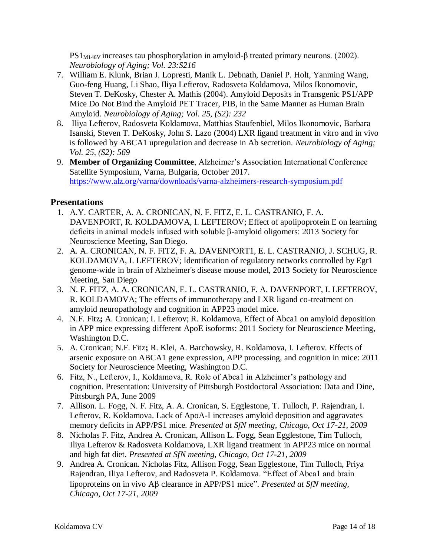$PS1_{M146V}$  increases tau phosphorylation in amyloid-β treated primary neurons. (2002). *Neurobiology of Aging; Vol. 23:S216*

- 7. William E. Klunk, Brian J. Lopresti, Manik L. Debnath, Daniel P. Holt, Yanming Wang, Guo-feng Huang, Li Shao, Iliya Lefterov, Radosveta Koldamova, Milos Ikonomovic, Steven T. DeKosky, Chester A. Mathis (2004). Amyloid Deposits in Transgenic PS1/APP Mice Do Not Bind the Amyloid PET Tracer, PIB, in the Same Manner as Human Brain Amyloid. *Neurobiology of Aging; Vol. 25, (S2): 232*
- 8. Iliya Lefterov, Radosveta Koldamova, Matthias Staufenbiel, Milos Ikonomovic, Barbara Isanski, Steven T. DeKosky, John S. Lazo (2004) LXR ligand treatment in vitro and in vivo is followed by ABCA1 upregulation and decrease in Ab secretion. *Neurobiology of Aging; Vol. 25, (S2): 569*
- 9. **Member of Organizing Committee**, Alzheimer's Association International Conference Satellite Symposium, Varna, Bulgaria, October 2017. <https://www.alz.org/varna/downloads/varna-alzheimers-research-symposium.pdf>

## **Presentations**

- 1. A.Y. CARTER, A. A. CRONICAN, N. F. FITZ, E. L. CASTRANIO, F. A. DAVENPORT, R. KOLDAMOVA, I. LEFTEROV; Effect of apolipoprotein E on learning deficits in animal models infused with soluble β-amyloid oligomers: 2013 Society for Neuroscience Meeting, San Diego.
- 2. A. A. CRONICAN, N. F. FITZ, F. A. DAVENPORT1, E. L. CASTRANIO, J. SCHUG, R. KOLDAMOVA, I. LEFTEROV; Identification of regulatory networks controlled by Egr1 genome-wide in brain of Alzheimer's disease mouse model, 2013 Society for Neuroscience Meeting, San Diego
- 3. N. F. FITZ, A. A. CRONICAN, E. L. CASTRANIO, F. A. DAVENPORT, I. LEFTEROV, R. KOLDAMOVA; The effects of immunotherapy and LXR ligand co-treatment on amyloid neuropathology and cognition in APP23 model mice.
- 4. N.F. Fitz**;** A. Cronican; I. Lefterov; R. Koldamova, Effect of Abca1 on amyloid deposition in APP mice expressing different ApoE isoforms: 2011 Society for Neuroscience Meeting, Washington D.C.
- 5. A. Cronican; N.F. Fitz**;** R. Klei, A. Barchowsky, R. Koldamova, I. Lefterov. Effects of arsenic exposure on ABCA1 gene expression, APP processing, and cognition in mice: 2011 Society for Neuroscience Meeting, Washington D.C.
- 6. Fitz, N., Lefterov, I., Koldamova, R. Role of Abca1 in Alzheimer's pathology and cognition. Presentation: University of Pittsburgh Postdoctoral Association: Data and Dine, Pittsburgh PA, June 2009
- 7. Allison. L. Fogg, N. F. Fitz, A. A. Cronican, S. Egglestone, T. Tulloch, P. Rajendran, I. Lefterov, R. Koldamova. Lack of ApoA-I increases amyloid deposition and aggravates memory deficits in APP/PS1 mice*. Presented at SfN meeting, Chicago, Oct 17-21, 2009*
- 8. Nicholas F. Fitz, Andrea A. Cronican, Allison L. Fogg, Sean Egglestone, Tim Tulloch, Iliya Lefterov & Radosveta Koldamova, LXR ligand treatment in APP23 mice on normal and high fat diet. *Presented at SfN meeting, Chicago, Oct 17-21, 2009*
- 9. Andrea A. Cronican. Nicholas Fitz, Allison Fogg, Sean Egglestone, Tim Tulloch, Priya Rajendran, Iliya Lefterov, and Radosveta P. Koldamova. "Effect of Abca1 and brain lipoproteins on in vivo A<sub>B</sub> clearance in APP/PS1 mice". *Presented at SfN meeting*, *Chicago, Oct 17-21, 2009*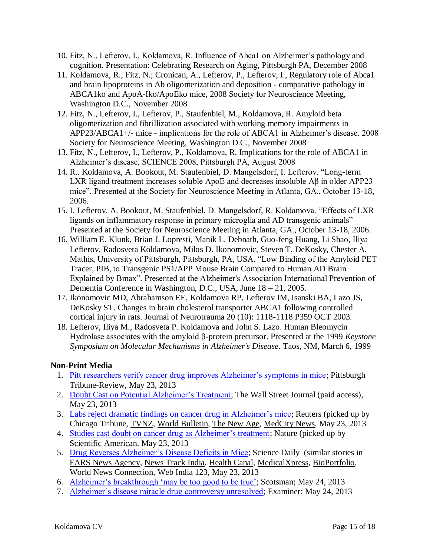- 10. Fitz, N., Lefterov, I., Koldamova, R. Influence of Abca1 on Alzheimer's pathology and cognition. Presentation: Celebrating Research on Aging, Pittsburgh PA, December 2008
- 11. Koldamova, R., Fitz, N.; Cronican, A., Lefterov, P., Lefterov, I., Regulatory role of Abca1 and brain lipoproteins in Ab oligomerization and deposition - comparative pathology in ABCA1ko and ApoA-Iko/ApoEko mice, 2008 Society for Neuroscience Meeting, Washington D.C., November 2008
- 12. Fitz, N., Lefterov, I., Lefterov, P., Staufenbiel, M., Koldamova, R. Amyloid beta oligomerization and fibrillization associated with working memory impairments in APP23/ABCA1+/- mice - implications for the role of ABCA1 in Alzheimer's disease. 2008 Society for Neuroscience Meeting, Washington D.C., November 2008
- 13. Fitz, N., Lefterov, I., Lefterov, P., Koldamova, R. Implications for the role of ABCA1 in Alzheimer's disease, SCIENCE 2008, Pittsburgh PA, August 2008
- 14. R.. Koldamova, A. Bookout, M. Staufenbiel, D. Mangelsdorf, I. Lefterov. "Long-term LXR ligand treatment increases soluble ApoE and decreases insoluble Aβ in older APP23 mice", Presented at the Society for Neuroscience Meeting in Atlanta, GA., October 13-18, 2006.
- 15. I. Lefterov, A. Bookout, M. Staufenbiel, D. Mangelsdorf, R. Koldamova. "Effects of LXR ligands on inflammatory response in primary microglia and AD transgenic animals" Presented at the Society for Neuroscience Meeting in Atlanta, GA., October 13-18, 2006.
- 16. William E. Klunk, Brian J. Lopresti, Manik L. Debnath, Guo-feng Huang, Li Shao, Iliya Lefterov, Radosveta Koldamova, Milos D. Ikonomovic, Steven T. DeKosky, Chester A. Mathis, University of Pittsburgh, Pittsburgh, PA, USA. "Low Binding of the Amyloid PET Tracer, PIB, to Transgenic PS1/APP Mouse Brain Compared to Human AD Brain Explained by Bmax". Presented at the Alzheimer's Association International Prevention of Dementia Conference in Washington, D.C., USA, June 18 – 21, 2005.
- 17. Ikonomovic MD, Abrahamson EE, Koldamova RP, Lefterov IM, Isanski BA, Lazo JS, DeKosky ST. Changes in brain cholesterol transporter ABCA1 following controlled cortical injury in rats. Journal of Neurotrauma 20 (10): 1118-1118 P359 OCT 2003.
- 18. Lefterov, Iliya M., Radosveta P. Koldamova and John S. Lazo. Human Bleomycin Hydrolase associates with the amyloid β-protein precursor. Presented at the 1999 *Keystone Symposium on Molecular Mechanisms in Alzheimer's Disease*. Taos, NM, March 6, 1999

## **Non-Print Media**

- 1. [Pitt researchers verify cancer drug improves Alzheimer's symptoms in mice;](http://triblive.com/news/adminpage/4052467-74/mice-pitt-researchers#axzz2U8oOu9Q5) Pittsburgh Tribune-Review, May 23, 2013
- 2. Doubt Cast [on Potential Alzheimer's Treatment;](http://online.wsj.com/article/SB10001424127887323336104578501453357787408.html) The Wall Street Journal (paid access), May 23, 2013
- 3. [Labs reject dramatic findings on cancer drug](http://www.chicagotribune.com/health/sns-rt-us-alzheimers-micebre94m0zo-20130523,0,3033102.story?page=2) in Alzheimer's mice; Reuters (picked up by Chicago Tribune, [TVNZ,](http://tvnz.co.nz/lifestyle-news/labs-reject-alzheimer-s-breakthrough-drug-5446990) [World Bulletin,](http://www.worldbulletin.net/?aType=haber&ArticleID=109723) [The New Age,](http://www.thenewage.co.za/96841-1021-53-Labs_reject_dramatic_findings_on_cancer_drug_in_Alzheimers_mice) [MedCity News,](http://medcitynews.com/2013/05/researchers-reject-dramatic-findings-on-cancer-drug-in-alzheimers-mice/) May 23, 2013
- 4. [Studies cast doubt on cancer drug as Alzheimer's treatment;](http://www.nature.com/news/studies-cast-doubt-on-cancer-drug-as-alzheimer-s-treatment-1.13058) Nature (picked up by [Scientific American,](http://www.scientificamerican.com/article.cfm?id=studies-cast-doubt-cancer-drug-alzheimers) May 23, 2013
- 5. [Drug Reverses Alzheimer's Disease Deficits in Mice;](http://www.sciencedaily.com/releases/2013/05/130523143541.htm) Science Daily (similar stories in [FARS News Agency,](http://english.farsnews.com/newstext.php?nn=9202243456) [News Track India,](http://www.newstrackindia.com/newsdetails/2013/05/24/229-Anti-cancer-drug-reverses-Alzheimer-s-disease-deficits-in-mice.html) [Health Canal,](http://www.healthcanal.com/mental-health-behavior/39009-drug-reverses-alzheimer’s-disease-deficits-in-mice,-pitt-research-confirms.html) [MedicalXpress,](http://medicalxpress.com/news/2013-05-drug-reverses-alzheimer-disease-deficits.html) [BioPortfolio,](http://www.bioportfolio.com/news/article/1468131/Drug-reverses-Alzheimers-disease-deficits-in-mice-research-confirms.html) World News Connection, [Web India 123,](http://news.webindia123.com/news/Articles/India/20130524/2206930.html) May 23, 2013
- 6. [Alzheimer's breakthrough 'may be too good to be true';](http://www.scotsman.com/news/health/alzheimer-s-breakthrough-may-be-too-good-to-be-true-1-2943254) Scotsman; May 24, 2013
- 7. [Alzheimer's disease miracle drug controversy unresolved;](http://www.examiner.com/article/alzheimer-s-disease-miracle-drug-controversy-unresolved) Examiner; May 24, 2013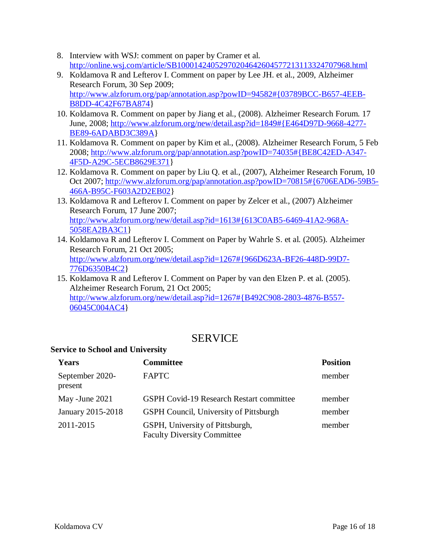- 8. Interview with WSJ: comment on paper by Cramer et al. <http://online.wsj.com/article/SB10001424052970204642604577213113324707968.html>
- 9. Koldamova R and Lefterov I. Comment on paper by Lee JH. et al., 2009, Alzheimer Research Forum, 30 Sep 2009; [http://www.alzforum.org/pap/annotation.asp?powID=94582#{03789BCC-B657-4EEB-](http://www.alzforum.org/pap/annotation.asp?powID=94582#{03789BCC-B657-4EEB-B8DD-4C42F67BA874)[B8DD-4C42F67BA874}](http://www.alzforum.org/pap/annotation.asp?powID=94582#{03789BCC-B657-4EEB-B8DD-4C42F67BA874)
- 10. Koldamova R. Comment on paper by Jiang et al., (2008). Alzheimer Research Forum. 17 June, 2008; [http://www.alzforum.org/new/detail.asp?id=1849#{E464D97D-9668-4277-](http://www.alzforum.org/new/detail.asp?id=1849#{E464D97D-9668-4277-BE89-6ADABD3C389A) [BE89-6ADABD3C389A}](http://www.alzforum.org/new/detail.asp?id=1849#{E464D97D-9668-4277-BE89-6ADABD3C389A)
- 11. Koldamova R. Comment on paper by Kim et al., (2008). Alzheimer Research Forum, 5 Feb 2008; [http://www.alzforum.org/pap/annotation.asp?powID=74035#{BE8C42ED-A347-](http://www.alzforum.org/pap/annotation.asp?powID=74035#{BE8C42ED-A347-4F5D-A29C-5ECB8629E371) [4F5D-A29C-5ECB8629E371}](http://www.alzforum.org/pap/annotation.asp?powID=74035#{BE8C42ED-A347-4F5D-A29C-5ECB8629E371)
- 12. Koldamova R. Comment on paper by Liu Q. et al., (2007), Alzheimer Research Forum, 10 Oct 2007[; http://www.alzforum.org/pap/annotation.asp?powID=70815#{6706EAD6-59B5-](http://www.alzforum.org/pap/annotation.asp?powID=70815#{6706EAD6-59B5-466A-B95C-F603A2D2EB02) [466A-B95C-F603A2D2EB02}](http://www.alzforum.org/pap/annotation.asp?powID=70815#{6706EAD6-59B5-466A-B95C-F603A2D2EB02)
- 13. Koldamova R and Lefterov I. Comment on paper by Zelcer et al., (2007) Alzheimer Research Forum, 17 June 2007; [http://www.alzforum.org/new/detail.asp?id=1613#{613C0AB5-6469-41A2-968A-](http://www.alzforum.org/new/detail.asp?id=1613#{613C0AB5-6469-41A2-968A-5058EA2BA3C1)[5058EA2BA3C1}](http://www.alzforum.org/new/detail.asp?id=1613#{613C0AB5-6469-41A2-968A-5058EA2BA3C1)
- 14. Koldamova R and Lefterov I. Comment on Paper by Wahrle S. et al. (2005). Alzheimer Research Forum, 21 Oct 2005; [http://www.alzforum.org/new/detail.asp?id=1267#{966D623A-BF26-448D-99D7-](http://www.alzforum.org/new/detail.asp?id=1267#{966D623A-BF26-448D-99D7-776D6350B4C2) [776D6350B4C2}](http://www.alzforum.org/new/detail.asp?id=1267#{966D623A-BF26-448D-99D7-776D6350B4C2)
- 15. Koldamova R and Lefterov I. Comment on Paper by van den Elzen P. et al. (2005). Alzheimer Research Forum, 21 Oct 2005; [http://www.alzforum.org/new/detail.asp?id=1267#{B492C908-2803-4876-B557-](http://www.alzforum.org/new/detail.asp?id=1267#{B492C908-2803-4876-B557-06045C004AC4) [06045C004AC4}](http://www.alzforum.org/new/detail.asp?id=1267#{B492C908-2803-4876-B557-06045C004AC4)

# **SERVICE**

## **Service to School and University**

| Years                      | <b>Committee</b>                                                      | <b>Position</b> |
|----------------------------|-----------------------------------------------------------------------|-----------------|
| September 2020-<br>present | <b>FAPTC</b>                                                          | member          |
| May -June 2021             | <b>GSPH Covid-19 Research Restart committee</b>                       | member          |
| January 2015-2018          | <b>GSPH Council, University of Pittsburgh</b>                         | member          |
| 2011-2015                  | GSPH, University of Pittsburgh,<br><b>Faculty Diversity Committee</b> | member          |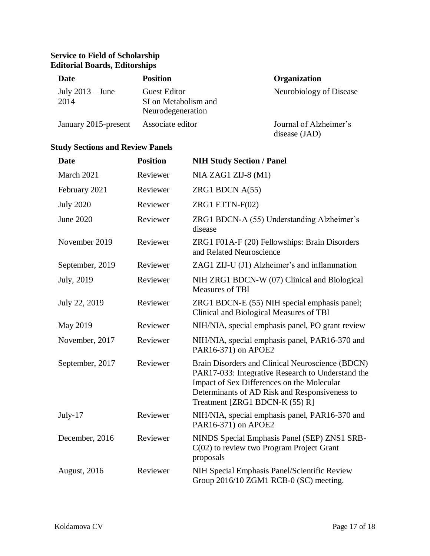## **Service to Field of Scholarship Editorial Boards, Editorships**

| Date                       | <b>Position</b>                                           | Organization                            |
|----------------------------|-----------------------------------------------------------|-----------------------------------------|
| July $2013 -$ June<br>2014 | Guest Editor<br>SI on Metabolism and<br>Neurodegeneration | Neurobiology of Disease                 |
| January 2015-present       | Associate editor                                          | Journal of Alzheimer's<br>disease (JAD) |

## **Study Sections and Review Panels**

| <b>Date</b>         | <b>Position</b> | <b>NIH Study Section / Panel</b>                                                                                                                                                                                                       |
|---------------------|-----------------|----------------------------------------------------------------------------------------------------------------------------------------------------------------------------------------------------------------------------------------|
| March 2021          | Reviewer        | NIA ZAG1 ZIJ-8 (M1)                                                                                                                                                                                                                    |
| February 2021       | Reviewer        | ZRG1 BDCN $A(55)$                                                                                                                                                                                                                      |
| <b>July 2020</b>    | Reviewer        | ZRG1 ETTN-F(02)                                                                                                                                                                                                                        |
| <b>June 2020</b>    | Reviewer        | ZRG1 BDCN-A (55) Understanding Alzheimer's<br>disease                                                                                                                                                                                  |
| November 2019       | Reviewer        | ZRG1 F01A-F (20) Fellowships: Brain Disorders<br>and Related Neuroscience                                                                                                                                                              |
| September, 2019     | Reviewer        | ZAG1 ZIJ-U (J1) Alzheimer's and inflammation                                                                                                                                                                                           |
| July, 2019          | Reviewer        | NIH ZRG1 BDCN-W (07) Clinical and Biological<br><b>Measures of TBI</b>                                                                                                                                                                 |
| July 22, 2019       | Reviewer        | ZRG1 BDCN-E (55) NIH special emphasis panel;<br>Clinical and Biological Measures of TBI                                                                                                                                                |
| May 2019            | Reviewer        | NIH/NIA, special emphasis panel, PO grant review                                                                                                                                                                                       |
| November, 2017      | Reviewer        | NIH/NIA, special emphasis panel, PAR16-370 and<br>PAR16-371) on APOE2                                                                                                                                                                  |
| September, 2017     | Reviewer        | Brain Disorders and Clinical Neuroscience (BDCN)<br>PAR17-033: Integrative Research to Understand the<br>Impact of Sex Differences on the Molecular<br>Determinants of AD Risk and Responsiveness to<br>Treatment [ZRG1 BDCN-K (55) R] |
| July-17             | Reviewer        | NIH/NIA, special emphasis panel, PAR16-370 and<br>PAR16-371) on APOE2                                                                                                                                                                  |
| December, 2016      | Reviewer        | NINDS Special Emphasis Panel (SEP) ZNS1 SRB-<br>$C(02)$ to review two Program Project Grant<br>proposals                                                                                                                               |
| <b>August, 2016</b> | Reviewer        | NIH Special Emphasis Panel/Scientific Review<br>Group 2016/10 ZGM1 RCB-0 (SC) meeting.                                                                                                                                                 |